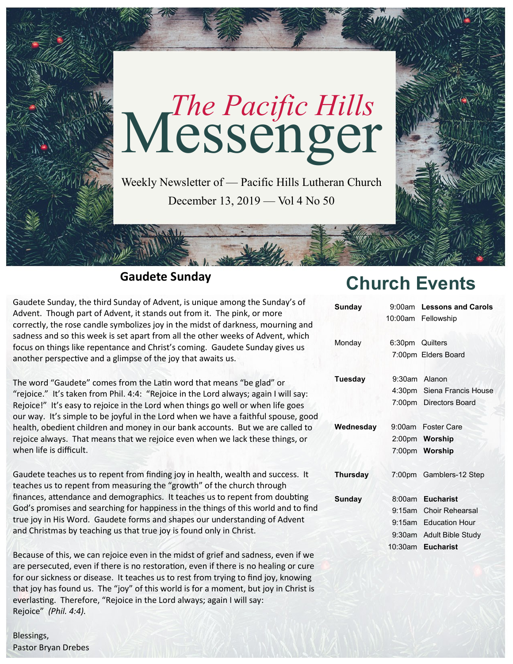

## **Gaudete Sunday**

Gaudete Sunday, the third Sunday of Advent, is unique among the Sunday's of Advent. Though part of Advent, it stands out from it. The pink, or more correctly, the rose candle symbolizes joy in the midst of darkness, mourning and sadness and so this week is set apart from all the other weeks of Advent, which focus on things like repentance and Christ's coming. Gaudete Sunday gives us another perspective and a glimpse of the joy that awaits us.

The word "Gaudete" comes from the Latin word that means "be glad" or "rejoice." It's taken from Phil. 4:4: "Rejoice in the Lord always; again I will say: Rejoice!" It's easy to rejoice in the Lord when things go well or when life goes our way. It's simple to be joyful in the Lord when we have a faithful spouse, good health, obedient children and money in our bank accounts. But we are called to rejoice always. That means that we rejoice even when we lack these things, or when life is difficult.

Gaudete teaches us to repent from finding joy in health, wealth and success. It teaches us to repent from measuring the "growth" of the church through finances, attendance and demographics. It teaches us to repent from doubting God's promises and searching for happiness in the things of this world and to find true joy in His Word. Gaudete forms and shapes our understanding of Advent and Christmas by teaching us that true joy is found only in Christ.

Because of this, we can rejoice even in the midst of grief and sadness, even if we are persecuted, even if there is no restoration, even if there is no healing or cure for our sickness or disease. It teaches us to rest from trying to find joy, knowing that joy has found us. The "joy" of this world is for a moment, but joy in Christ is everlasting. Therefore, "Rejoice in the Lord always; again I will say: Rejoice" *(Phil. 4:4).*

Blessings, Pastor Bryan Drebes

# **Church Events**

| <b>Sunday</b>   |                 | 9:00am Lessons and Carols  |
|-----------------|-----------------|----------------------------|
|                 |                 | 10:00am Fellowship         |
| Monday          | 6:30pm Quilters |                            |
|                 |                 | 7:00pm Elders Board        |
| Tuesday         |                 | 9:30am Alanon              |
|                 |                 | 4:30pm Siena Francis House |
|                 |                 | 7:00pm Directors Board     |
| Wednesday       |                 | 9:00am Foster Care         |
|                 |                 | 2:00pm Worship             |
|                 |                 | 7:00pm Worship             |
| <b>Thursday</b> |                 | 7:00pm Gamblers-12 Step    |
| <b>Sunday</b>   | 8:00am          | <b>Eucharist</b>           |
|                 | $9:15$ am       | Choir Rehearsal            |
|                 |                 | 9:15am Education Hour      |
|                 | $9:30$ am       | <b>Adult Bible Study</b>   |
|                 | 10:30am         | <b>Eucharist</b>           |
|                 |                 |                            |